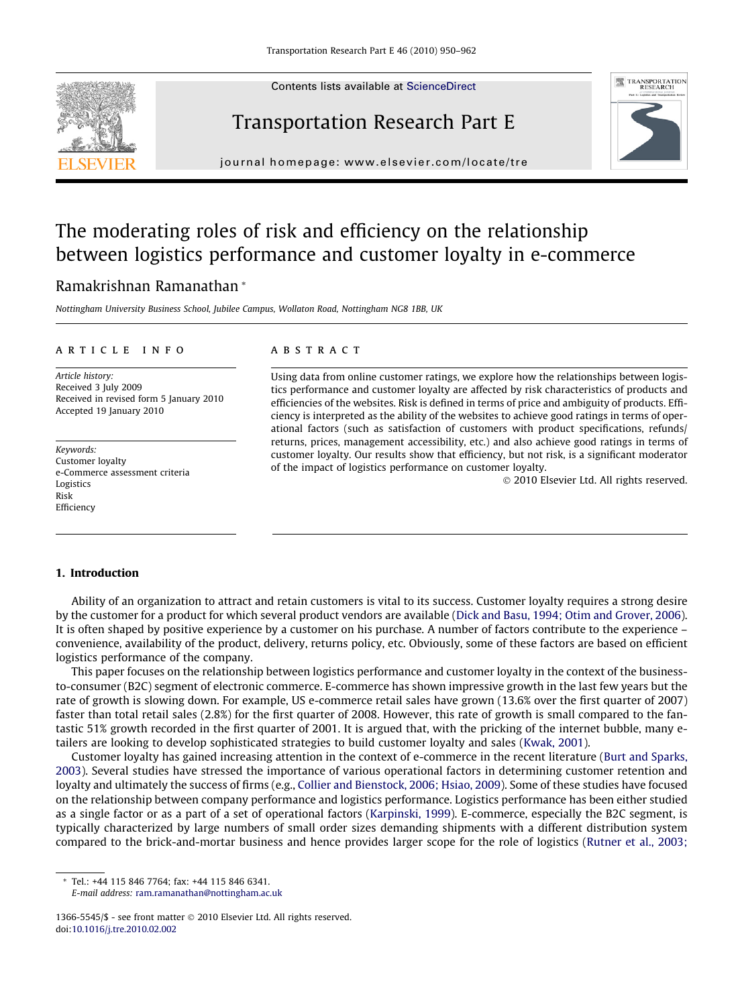Contents lists available at [ScienceDirect](http://www.sciencedirect.com/science/journal/13665545)



## Transportation Research Part E



journal homepage: [www.elsevier.com/locate/tre](http://www.elsevier.com/locate/tre)

### The moderating roles of risk and efficiency on the relationship between logistics performance and customer loyalty in e-commerce

### Ramakrishnan Ramanathan \*

Nottingham University Business School, Jubilee Campus, Wollaton Road, Nottingham NG8 1BB, UK

#### article info

Article history: Received 3 July 2009 Received in revised form 5 January 2010 Accepted 19 January 2010

Keywords: Customer loyalty e-Commerce assessment criteria Logistics Risk **Efficiency** 

#### **ABSTRACT**

Using data from online customer ratings, we explore how the relationships between logistics performance and customer loyalty are affected by risk characteristics of products and efficiencies of the websites. Risk is defined in terms of price and ambiguity of products. Efficiency is interpreted as the ability of the websites to achieve good ratings in terms of operational factors (such as satisfaction of customers with product specifications, refunds/ returns, prices, management accessibility, etc.) and also achieve good ratings in terms of customer loyalty. Our results show that efficiency, but not risk, is a significant moderator of the impact of logistics performance on customer loyalty.

© 2010 Elsevier Ltd. All rights reserved.

#### 1. Introduction

Ability of an organization to attract and retain customers is vital to its success. Customer loyalty requires a strong desire by the customer for a product for which several product vendors are available ([Dick and Basu, 1994; Otim and Grover, 2006](#page--1-0)). It is often shaped by positive experience by a customer on his purchase. A number of factors contribute to the experience – convenience, availability of the product, delivery, returns policy, etc. Obviously, some of these factors are based on efficient logistics performance of the company.

This paper focuses on the relationship between logistics performance and customer loyalty in the context of the businessto-consumer (B2C) segment of electronic commerce. E-commerce has shown impressive growth in the last few years but the rate of growth is slowing down. For example, US e-commerce retail sales have grown (13.6% over the first quarter of 2007) faster than total retail sales (2.8%) for the first quarter of 2008. However, this rate of growth is small compared to the fantastic 51% growth recorded in the first quarter of 2001. It is argued that, with the pricking of the internet bubble, many etailers are looking to develop sophisticated strategies to build customer loyalty and sales [\(Kwak, 2001\)](#page--1-0).

Customer loyalty has gained increasing attention in the context of e-commerce in the recent literature ([Burt and Sparks,](#page--1-0) [2003](#page--1-0)). Several studies have stressed the importance of various operational factors in determining customer retention and loyalty and ultimately the success of firms (e.g., [Collier and Bienstock, 2006; Hsiao, 2009](#page--1-0)). Some of these studies have focused on the relationship between company performance and logistics performance. Logistics performance has been either studied as a single factor or as a part of a set of operational factors [\(Karpinski, 1999\)](#page--1-0). E-commerce, especially the B2C segment, is typically characterized by large numbers of small order sizes demanding shipments with a different distribution system compared to the brick-and-mortar business and hence provides larger scope for the role of logistics [\(Rutner et al., 2003;](#page--1-0)

\* Tel.: +44 115 846 7764; fax: +44 115 846 6341.

E-mail address: [ram.ramanathan@nottingham.ac.uk](mailto:ram.ramanathan@nottingham.ac.uk)

<sup>1366-5545/\$ -</sup> see front matter  $\odot$  2010 Elsevier Ltd. All rights reserved. doi[:10.1016/j.tre.2010.02.002](http://dx.doi.org/10.1016/j.tre.2010.02.002)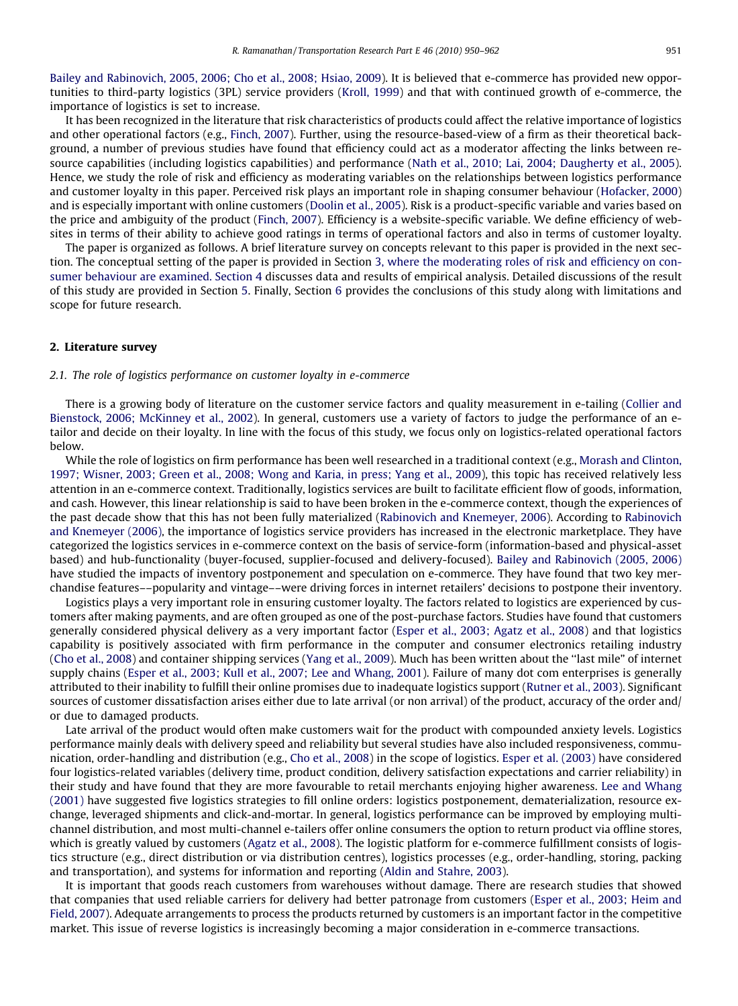[Bailey and Rabinovich, 2005, 2006; Cho et al., 2008; Hsiao, 2009](#page--1-0)). It is believed that e-commerce has provided new opportunities to third-party logistics (3PL) service providers [\(Kroll, 1999\)](#page--1-0) and that with continued growth of e-commerce, the importance of logistics is set to increase.

It has been recognized in the literature that risk characteristics of products could affect the relative importance of logistics and other operational factors (e.g., [Finch, 2007\)](#page--1-0). Further, using the resource-based-view of a firm as their theoretical background, a number of previous studies have found that efficiency could act as a moderator affecting the links between resource capabilities (including logistics capabilities) and performance [\(Nath et al., 2010; Lai, 2004; Daugherty et al., 2005](#page--1-0)). Hence, we study the role of risk and efficiency as moderating variables on the relationships between logistics performance and customer loyalty in this paper. Perceived risk plays an important role in shaping consumer behaviour [\(Hofacker, 2000](#page--1-0)) and is especially important with online customers ([Doolin et al., 2005](#page--1-0)). Risk is a product-specific variable and varies based on the price and ambiguity of the product [\(Finch, 2007](#page--1-0)). Efficiency is a website-specific variable. We define efficiency of websites in terms of their ability to achieve good ratings in terms of operational factors and also in terms of customer loyalty.

The paper is organized as follows. A brief literature survey on concepts relevant to this paper is provided in the next section. The conceptual setting of the paper is provided in Section 3, where the moderating roles of risk and efficiency on consumer behaviour are examined. Section 4 discusses data and results of empirical analysis. Detailed discussions of the result of this study are provided in Section 5. Finally, Section 6 provides the conclusions of this study along with limitations and scope for future research.

#### 2. Literature survey

#### 2.1. The role of logistics performance on customer loyalty in e-commerce

There is a growing body of literature on the customer service factors and quality measurement in e-tailing ([Collier and](#page--1-0) [Bienstock, 2006; McKinney et al., 2002\)](#page--1-0). In general, customers use a variety of factors to judge the performance of an etailor and decide on their loyalty. In line with the focus of this study, we focus only on logistics-related operational factors below.

While the role of logistics on firm performance has been well researched in a traditional context (e.g., [Morash and Clinton,](#page--1-0) [1997; Wisner, 2003; Green et al., 2008; Wong and Karia, in press; Yang et al., 2009](#page--1-0)), this topic has received relatively less attention in an e-commerce context. Traditionally, logistics services are built to facilitate efficient flow of goods, information, and cash. However, this linear relationship is said to have been broken in the e-commerce context, though the experiences of the past decade show that this has not been fully materialized ([Rabinovich and Knemeyer, 2006](#page--1-0)). According to [Rabinovich](#page--1-0) [and Knemeyer \(2006\)](#page--1-0), the importance of logistics service providers has increased in the electronic marketplace. They have categorized the logistics services in e-commerce context on the basis of service-form (information-based and physical-asset based) and hub-functionality (buyer-focused, supplier-focused and delivery-focused). [Bailey and Rabinovich \(2005, 2006\)](#page--1-0) have studied the impacts of inventory postponement and speculation on e-commerce. They have found that two key merchandise features––popularity and vintage––were driving forces in internet retailers' decisions to postpone their inventory.

Logistics plays a very important role in ensuring customer loyalty. The factors related to logistics are experienced by customers after making payments, and are often grouped as one of the post-purchase factors. Studies have found that customers generally considered physical delivery as a very important factor [\(Esper et al., 2003; Agatz et al., 2008](#page--1-0)) and that logistics capability is positively associated with firm performance in the computer and consumer electronics retailing industry ([Cho et al., 2008](#page--1-0)) and container shipping services [\(Yang et al., 2009\)](#page--1-0). Much has been written about the ''last mile" of internet supply chains [\(Esper et al., 2003; Kull et al., 2007; Lee and Whang, 2001\)](#page--1-0). Failure of many dot com enterprises is generally attributed to their inability to fulfill their online promises due to inadequate logistics support ([Rutner et al., 2003](#page--1-0)). Significant sources of customer dissatisfaction arises either due to late arrival (or non arrival) of the product, accuracy of the order and/ or due to damaged products.

Late arrival of the product would often make customers wait for the product with compounded anxiety levels. Logistics performance mainly deals with delivery speed and reliability but several studies have also included responsiveness, communication, order-handling and distribution (e.g., [Cho et al., 2008\)](#page--1-0) in the scope of logistics. [Esper et al. \(2003\)](#page--1-0) have considered four logistics-related variables (delivery time, product condition, delivery satisfaction expectations and carrier reliability) in their study and have found that they are more favourable to retail merchants enjoying higher awareness. [Lee and Whang](#page--1-0) [\(2001\)](#page--1-0) have suggested five logistics strategies to fill online orders: logistics postponement, dematerialization, resource exchange, leveraged shipments and click-and-mortar. In general, logistics performance can be improved by employing multichannel distribution, and most multi-channel e-tailers offer online consumers the option to return product via offline stores, which is greatly valued by customers ([Agatz et al., 2008\)](#page--1-0). The logistic platform for e-commerce fulfillment consists of logistics structure (e.g., direct distribution or via distribution centres), logistics processes (e.g., order-handling, storing, packing and transportation), and systems for information and reporting ([Aldin and Stahre, 2003\)](#page--1-0).

It is important that goods reach customers from warehouses without damage. There are research studies that showed that companies that used reliable carriers for delivery had better patronage from customers [\(Esper et al., 2003; Heim and](#page--1-0) [Field, 2007\)](#page--1-0). Adequate arrangements to process the products returned by customers is an important factor in the competitive market. This issue of reverse logistics is increasingly becoming a major consideration in e-commerce transactions.